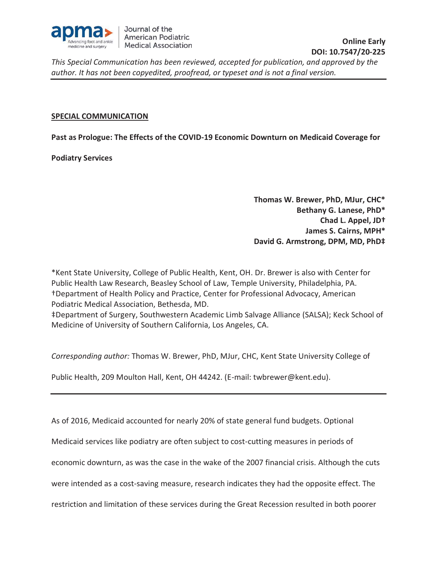

### **SPECIAL COMMUNICATION**

**Past as Prologue: The Effects of the COVID-19 Economic Downturn on Medicaid Coverage for** 

**Podiatry Services** 

**Thomas W. Brewer, PhD, MJur, CHC\* Bethany G. Lanese, PhD\* Chad L. Appel, JD† James S. Cairns, MPH\* David G. Armstrong, DPM, MD, PhD‡** 

\*Kent State University, College of Public Health, Kent, OH. Dr. Brewer is also with Center for Public Health Law Research, Beasley School of Law, Temple University, Philadelphia, PA. †Department of Health Policy and Practice, Center for Professional Advocacy, American Podiatric Medical Association, Bethesda, MD. ‡Department of Surgery, Southwestern Academic Limb Salvage Alliance (SALSA); Keck School of

Medicine of University of Southern California, Los Angeles, CA.

*Corresponding author:* Thomas W. Brewer, PhD, MJur, CHC, Kent State University College of

Public Health, 209 Moulton Hall, Kent, OH 44242. (E-mail: twbrewer@kent.edu).

As of 2016, Medicaid accounted for nearly 20% of state general fund budgets. Optional

Medicaid services like podiatry are often subject to cost-cutting measures in periods of

economic downturn, as was the case in the wake of the 2007 financial crisis. Although the cuts

were intended as a cost-saving measure, research indicates they had the opposite effect. The

restriction and limitation of these services during the Great Recession resulted in both poorer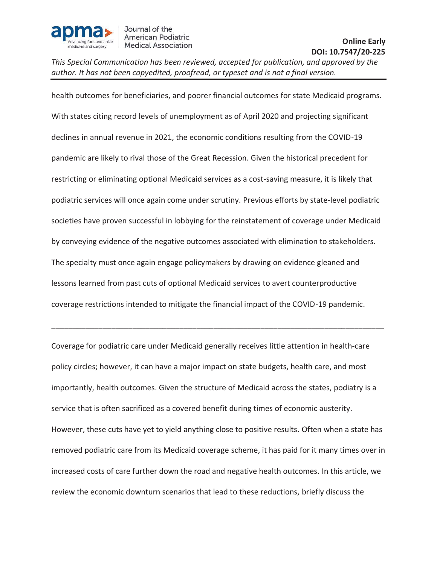

health outcomes for beneficiaries, and poorer financial outcomes for state Medicaid programs. With states citing record levels of unemployment as of April 2020 and projecting significant declines in annual revenue in 2021, the economic conditions resulting from the COVID-19 pandemic are likely to rival those of the Great Recession. Given the historical precedent for restricting or eliminating optional Medicaid services as a cost-saving measure, it is likely that podiatric services will once again come under scrutiny. Previous efforts by state-level podiatric societies have proven successful in lobbying for the reinstatement of coverage under Medicaid by conveying evidence of the negative outcomes associated with elimination to stakeholders. The specialty must once again engage policymakers by drawing on evidence gleaned and lessons learned from past cuts of optional Medicaid services to avert counterproductive coverage restrictions intended to mitigate the financial impact of the COVID-19 pandemic.

Coverage for podiatric care under Medicaid generally receives little attention in health-care policy circles; however, it can have a major impact on state budgets, health care, and most importantly, health outcomes. Given the structure of Medicaid across the states, podiatry is a service that is often sacrificed as a covered benefit during times of economic austerity. However, these cuts have yet to yield anything close to positive results. Often when a state has removed podiatric care from its Medicaid coverage scheme, it has paid for it many times over in increased costs of care further down the road and negative health outcomes. In this article, we review the economic downturn scenarios that lead to these reductions, briefly discuss the

\_\_\_\_\_\_\_\_\_\_\_\_\_\_\_\_\_\_\_\_\_\_\_\_\_\_\_\_\_\_\_\_\_\_\_\_\_\_\_\_\_\_\_\_\_\_\_\_\_\_\_\_\_\_\_\_\_\_\_\_\_\_\_\_\_\_\_\_\_\_\_\_\_\_\_\_\_\_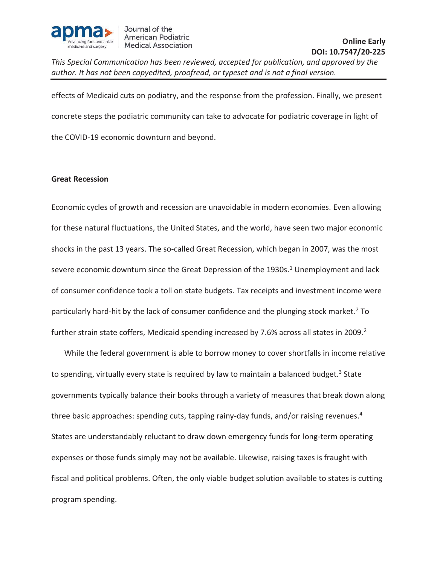

effects of Medicaid cuts on podiatry, and the response from the profession. Finally, we present concrete steps the podiatric community can take to advocate for podiatric coverage in light of the COVID-19 economic downturn and beyond.

#### **Great Recession**

Economic cycles of growth and recession are unavoidable in modern economies. Even allowing for these natural fluctuations, the United States, and the world, have seen two major economic shocks in the past 13 years. The so-called Great Recession, which began in 2007, was the most severe economic downturn since the Great Depression of the 1930s.<sup>1</sup> Unemployment and lack of consumer confidence took a toll on state budgets. Tax receipts and investment income were particularly hard-hit by the lack of consumer confidence and the plunging stock market.<sup>2</sup> To further strain state coffers, Medicaid spending increased by 7.6% across all states in 2009.<sup>2</sup>

While the federal government is able to borrow money to cover shortfalls in income relative to spending, virtually every state is required by law to maintain a balanced budget.<sup>3</sup> State governments typically balance their books through a variety of measures that break down along three basic approaches: spending cuts, tapping rainy-day funds, and/or raising revenues.<sup>4</sup> States are understandably reluctant to draw down emergency funds for long-term operating expenses or those funds simply may not be available. Likewise, raising taxes is fraught with fiscal and political problems. Often, the only viable budget solution available to states is cutting program spending.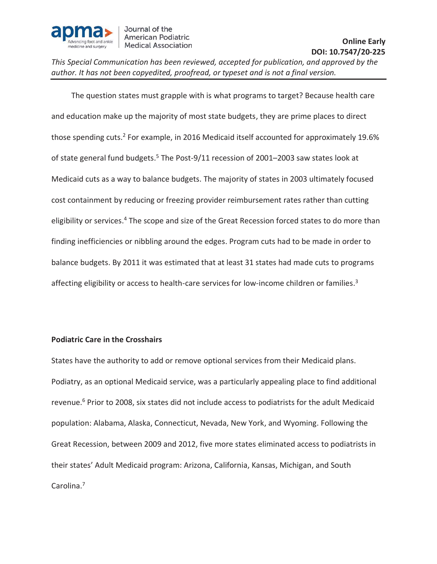

 The question states must grapple with is what programs to target? Because health care and education make up the majority of most state budgets, they are prime places to direct those spending cuts.<sup>2</sup> For example, in 2016 Medicaid itself accounted for approximately 19.6% of state general fund budgets.<sup>5</sup> The Post-9/11 recession of 2001–2003 saw states look at Medicaid cuts as a way to balance budgets. The majority of states in 2003 ultimately focused cost containment by reducing or freezing provider reimbursement rates rather than cutting eligibility or services.<sup>4</sup> The scope and size of the Great Recession forced states to do more than finding inefficiencies or nibbling around the edges. Program cuts had to be made in order to balance budgets. By 2011 it was estimated that at least 31 states had made cuts to programs affecting eligibility or access to health-care services for low-income children or families.<sup>3</sup>

## **Podiatric Care in the Crosshairs**

States have the authority to add or remove optional services from their Medicaid plans. Podiatry, as an optional Medicaid service, was a particularly appealing place to find additional revenue.<sup>6</sup> Prior to 2008, six states did not include access to podiatrists for the adult Medicaid population: Alabama, Alaska, Connecticut, Nevada, New York, and Wyoming. Following the Great Recession, between 2009 and 2012, five more states eliminated access to podiatrists in their states' Adult Medicaid program: Arizona, California, Kansas, Michigan, and South Carolina.7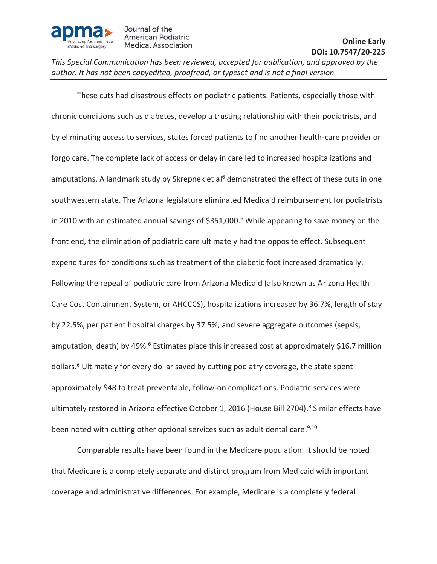

These cuts had disastrous effects on podiatric patients. Patients, especially those with chronic conditions such as diabetes, develop a trusting relationship with their podiatrists, and by eliminating access to services, states forced patients to find another health-care provider or forgo care. The complete lack of access or delay in care led to increased hospitalizations and amputations. A landmark study by Skrepnek et al<sup>6</sup> demonstrated the effect of these cuts in one southwestern state. The Arizona legislature eliminated Medicaid reimbursement for podiatrists in 2010 with an estimated annual savings of  $$351,000<sup>6</sup>$  While appearing to save money on the front end, the elimination of podiatric care ultimately had the opposite effect. Subsequent expenditures for conditions such as treatment of the diabetic foot increased dramatically. Following the repeal of podiatric care from Arizona Medicaid (also known as Arizona Health Care Cost Containment System, or AHCCCS), hospitalizations increased by 36.7%, length of stay by 22.5%, per patient hospital charges by 37.5%, and severe aggregate outcomes (sepsis, amputation, death) by 49%.<sup>6</sup> Estimates place this increased cost at approximately \$16.7 million dollars.<sup>6</sup> Ultimately for every dollar saved by cutting podiatry coverage, the state spent approximately \$48 to treat preventable, follow-on complications. Podiatric services were ultimately restored in Arizona effective October 1, 2016 (House Bill 2704).<sup>8</sup> Similar effects have been noted with cutting other optional services such as adult dental care.<sup>9,10</sup>

Comparable results have been found in the Medicare population. It should be noted that Medicare is a completely separate and distinct program from Medicaid with important coverage and administrative differences. For example, Medicare is a completely federal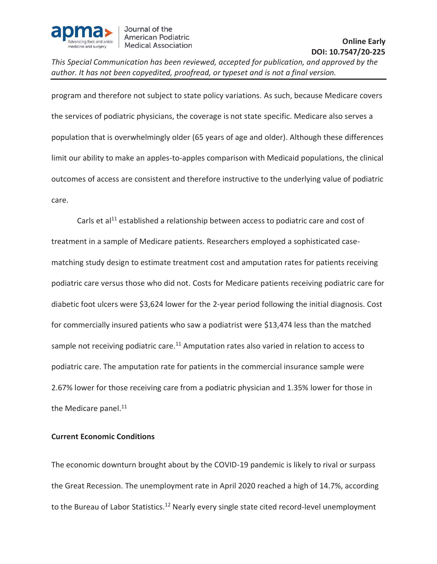

program and therefore not subject to state policy variations. As such, because Medicare covers the services of podiatric physicians, the coverage is not state specific. Medicare also serves a population that is overwhelmingly older (65 years of age and older). Although these differences limit our ability to make an apples-to-apples comparison with Medicaid populations, the clinical outcomes of access are consistent and therefore instructive to the underlying value of podiatric care.

Carls et  $al<sup>11</sup>$  established a relationship between access to podiatric care and cost of treatment in a sample of Medicare patients. Researchers employed a sophisticated casematching study design to estimate treatment cost and amputation rates for patients receiving podiatric care versus those who did not. Costs for Medicare patients receiving podiatric care for diabetic foot ulcers were \$3,624 lower for the 2-year period following the initial diagnosis. Cost for commercially insured patients who saw a podiatrist were \$13,474 less than the matched sample not receiving podiatric care.<sup>11</sup> Amputation rates also varied in relation to access to podiatric care. The amputation rate for patients in the commercial insurance sample were 2.67% lower for those receiving care from a podiatric physician and 1.35% lower for those in the Medicare panel.<sup>11</sup>

#### **Current Economic Conditions**

The economic downturn brought about by the COVID-19 pandemic is likely to rival or surpass the Great Recession. The unemployment rate in April 2020 reached a high of 14.7%, according to the Bureau of Labor Statistics.<sup>12</sup> Nearly every single state cited record-level unemployment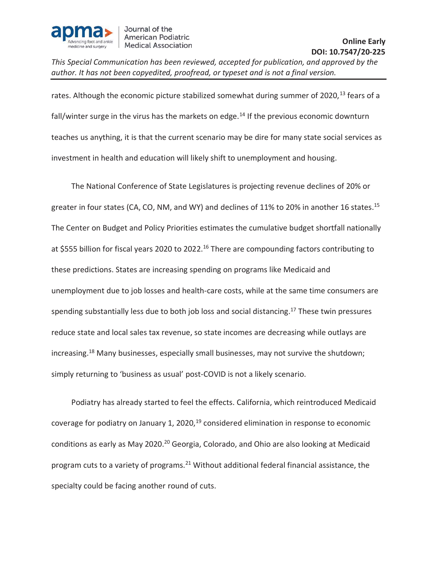

rates. Although the economic picture stabilized somewhat during summer of 2020,  $^{13}$  fears of a fall/winter surge in the virus has the markets on edge.<sup>14</sup> If the previous economic downturn teaches us anything, it is that the current scenario may be dire for many state social services as investment in health and education will likely shift to unemployment and housing.

 The National Conference of State Legislatures is projecting revenue declines of 20% or greater in four states (CA, CO, NM, and WY) and declines of 11% to 20% in another 16 states.<sup>15</sup> The Center on Budget and Policy Priorities estimates the cumulative budget shortfall nationally at \$555 billion for fiscal years 2020 to 2022.<sup>16</sup> There are compounding factors contributing to these predictions. States are increasing spending on programs like Medicaid and unemployment due to job losses and health-care costs, while at the same time consumers are spending substantially less due to both job loss and social distancing.<sup>17</sup> These twin pressures reduce state and local sales tax revenue, so state incomes are decreasing while outlays are increasing.18 Many businesses, especially small businesses, may not survive the shutdown; simply returning to 'business as usual' post-COVID is not a likely scenario.

 Podiatry has already started to feel the effects. California, which reintroduced Medicaid coverage for podiatry on January 1, 2020,<sup>19</sup> considered elimination in response to economic conditions as early as May 2020.<sup>20</sup> Georgia, Colorado, and Ohio are also looking at Medicaid program cuts to a variety of programs. $21$  Without additional federal financial assistance, the specialty could be facing another round of cuts.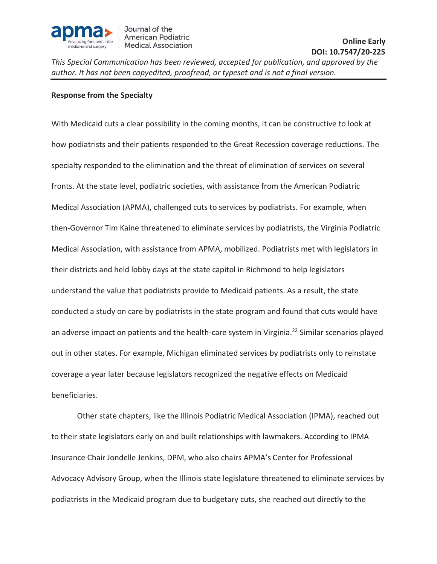

#### **Response from the Specialty**

With Medicaid cuts a clear possibility in the coming months, it can be constructive to look at how podiatrists and their patients responded to the Great Recession coverage reductions. The specialty responded to the elimination and the threat of elimination of services on several fronts. At the state level, podiatric societies, with assistance from the American Podiatric Medical Association (APMA), challenged cuts to services by podiatrists. For example, when then-Governor Tim Kaine threatened to eliminate services by podiatrists, the Virginia Podiatric Medical Association, with assistance from APMA, mobilized. Podiatrists met with legislators in their districts and held lobby days at the state capitol in Richmond to help legislators understand the value that podiatrists provide to Medicaid patients. As a result, the state conducted a study on care by podiatrists in the state program and found that cuts would have an adverse impact on patients and the health-care system in Virginia.<sup>22</sup> Similar scenarios played out in other states. For example, Michigan eliminated services by podiatrists only to reinstate coverage a year later because legislators recognized the negative effects on Medicaid beneficiaries.

Other state chapters, like the Illinois Podiatric Medical Association (IPMA), reached out to their state legislators early on and built relationships with lawmakers. According to IPMA Insurance Chair Jondelle Jenkins, DPM, who also chairs APMA's Center for Professional Advocacy Advisory Group, when the Illinois state legislature threatened to eliminate services by podiatrists in the Medicaid program due to budgetary cuts, she reached out directly to the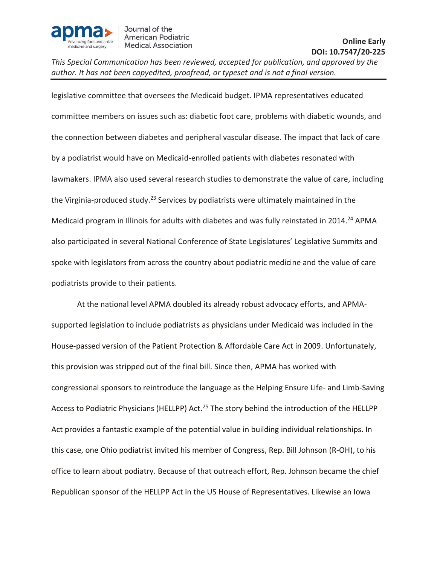

legislative committee that oversees the Medicaid budget. IPMA representatives educated committee members on issues such as: diabetic foot care, problems with diabetic wounds, and the connection between diabetes and peripheral vascular disease. The impact that lack of care by a podiatrist would have on Medicaid-enrolled patients with diabetes resonated with lawmakers. IPMA also used several research studies to demonstrate the value of care, including the Virginia-produced study.<sup>23</sup> Services by podiatrists were ultimately maintained in the Medicaid program in Illinois for adults with diabetes and was fully reinstated in 2014.<sup>24</sup> APMA also participated in several National Conference of State Legislatures' Legislative Summits and spoke with legislators from across the country about podiatric medicine and the value of care podiatrists provide to their patients.

At the national level APMA doubled its already robust advocacy efforts, and APMAsupported legislation to include podiatrists as physicians under Medicaid was included in the House-passed version of the Patient Protection & Affordable Care Act in 2009. Unfortunately, this provision was stripped out of the final bill. Since then, APMA has worked with congressional sponsors to reintroduce the language as the Helping Ensure Life- and Limb-Saving Access to Podiatric Physicians (HELLPP) Act.<sup>25</sup> The story behind the introduction of the HELLPP Act provides a fantastic example of the potential value in building individual relationships. In this case, one Ohio podiatrist invited his member of Congress, Rep. Bill Johnson (R-OH), to his office to learn about podiatry. Because of that outreach effort, Rep. Johnson became the chief Republican sponsor of the HELLPP Act in the US House of Representatives. Likewise an Iowa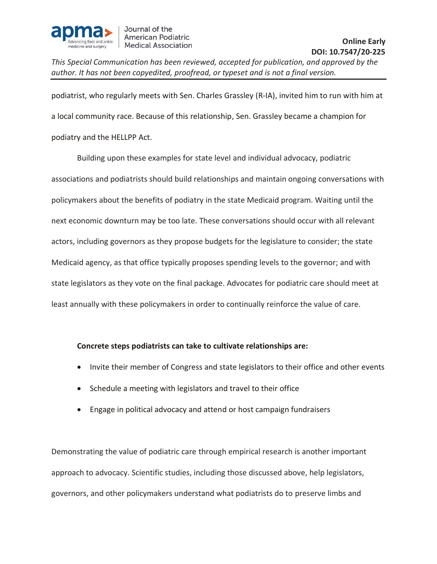

podiatrist, who regularly meets with Sen. Charles Grassley (R-IA), invited him to run with him at a local community race. Because of this relationship, Sen. Grassley became a champion for podiatry and the HELLPP Act.

Building upon these examples for state level and individual advocacy, podiatric associations and podiatrists should build relationships and maintain ongoing conversations with policymakers about the benefits of podiatry in the state Medicaid program. Waiting until the next economic downturn may be too late. These conversations should occur with all relevant actors, including governors as they propose budgets for the legislature to consider; the state Medicaid agency, as that office typically proposes spending levels to the governor; and with state legislators as they vote on the final package. Advocates for podiatric care should meet at least annually with these policymakers in order to continually reinforce the value of care.

## **Concrete steps podiatrists can take to cultivate relationships are:**

- Invite their member of Congress and state legislators to their office and other events
- Schedule a meeting with legislators and travel to their office
- Engage in political advocacy and attend or host campaign fundraisers

Demonstrating the value of podiatric care through empirical research is another important approach to advocacy. Scientific studies, including those discussed above, help legislators, governors, and other policymakers understand what podiatrists do to preserve limbs and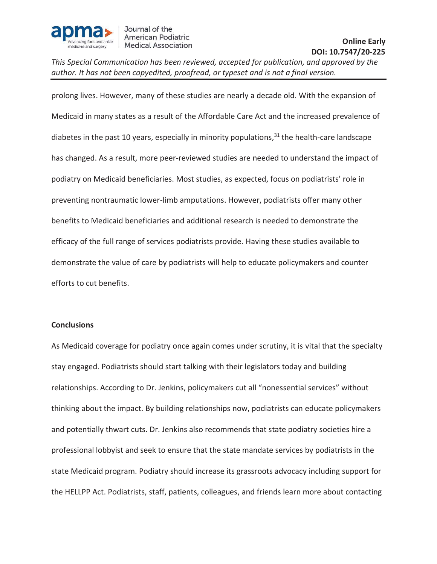

prolong lives. However, many of these studies are nearly a decade old. With the expansion of Medicaid in many states as a result of the Affordable Care Act and the increased prevalence of diabetes in the past 10 years, especially in minority populations, $31$  the health-care landscape has changed. As a result, more peer-reviewed studies are needed to understand the impact of podiatry on Medicaid beneficiaries. Most studies, as expected, focus on podiatrists' role in preventing nontraumatic lower-limb amputations. However, podiatrists offer many other benefits to Medicaid beneficiaries and additional research is needed to demonstrate the efficacy of the full range of services podiatrists provide. Having these studies available to demonstrate the value of care by podiatrists will help to educate policymakers and counter efforts to cut benefits.

#### **Conclusions**

As Medicaid coverage for podiatry once again comes under scrutiny, it is vital that the specialty stay engaged. Podiatrists should start talking with their legislators today and building relationships. According to Dr. Jenkins, policymakers cut all "nonessential services" without thinking about the impact. By building relationships now, podiatrists can educate policymakers and potentially thwart cuts. Dr. Jenkins also recommends that state podiatry societies hire a professional lobbyist and seek to ensure that the state mandate services by podiatrists in the state Medicaid program. Podiatry should increase its grassroots advocacy including support for the HELLPP Act. Podiatrists, staff, patients, colleagues, and friends learn more about contacting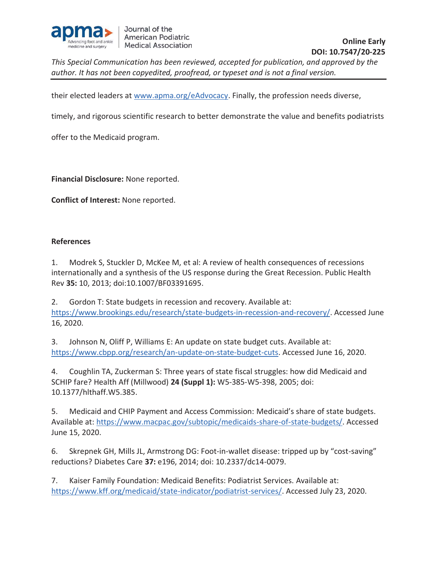

their elected leaders at www.apma.org/eAdvocacy. Finally, the profession needs diverse,

timely, and rigorous scientific research to better demonstrate the value and benefits podiatrists

offer to the Medicaid program.

**Financial Disclosure:** None reported.

**Conflict of Interest:** None reported.

# **References**

1. Modrek S, Stuckler D, McKee M, et al: A review of health consequences of recessions internationally and a synthesis of the US response during the Great Recession. Public Health Rev **35:** 10, 2013; doi:10.1007/BF03391695.

2. Gordon T: State budgets in recession and recovery. Available at: https://www.brookings.edu/research/state-budgets-in-recession-and-recovery/. Accessed June 16, 2020.

3. Johnson N, Oliff P, Williams E: An update on state budget cuts. Available at: https://www.cbpp.org/research/an-update-on-state-budget-cuts. Accessed June 16, 2020.

4. Coughlin TA, Zuckerman S: Three years of state fiscal struggles: how did Medicaid and SCHIP fare? Health Aff (Millwood) **24 (Suppl 1):** W5-385-W5-398, 2005; doi: 10.1377/hlthaff.W5.385.

5. Medicaid and CHIP Payment and Access Commission: Medicaid's share of state budgets. Available at: https://www.macpac.gov/subtopic/medicaids-share-of-state-budgets/. Accessed June 15, 2020.

6. Skrepnek GH, Mills JL, Armstrong DG: Foot-in-wallet disease: tripped up by "cost-saving" reductions? Diabetes Care **37:** e196, 2014; doi: 10.2337/dc14-0079.

7. Kaiser Family Foundation: Medicaid Benefits: Podiatrist Services. Available at: https://www.kff.org/medicaid/state-indicator/podiatrist-services/. Accessed July 23, 2020.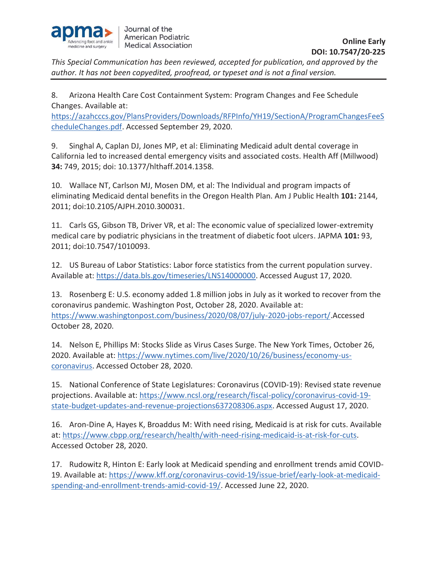

8. Arizona Health Care Cost Containment System: Program Changes and Fee Schedule Changes. Available at:

https://azahcccs.gov/PlansProviders/Downloads/RFPInfo/YH19/SectionA/ProgramChangesFeeS cheduleChanges.pdf. Accessed September 29, 2020.

9. Singhal A, Caplan DJ, Jones MP, et al: Eliminating Medicaid adult dental coverage in California led to increased dental emergency visits and associated costs. Health Aff (Millwood) **34:** 749, 2015; doi: 10.1377/hlthaff.2014.1358.

10. Wallace NT, Carlson MJ, Mosen DM, et al: The Individual and program impacts of eliminating Medicaid dental benefits in the Oregon Health Plan. Am J Public Health **101:** 2144, 2011; doi:10.2105/AJPH.2010.300031.

11. Carls GS, Gibson TB, Driver VR, et al: The economic value of specialized lower-extremity medical care by podiatric physicians in the treatment of diabetic foot ulcers. JAPMA **101:** 93, 2011; doi:10.7547/1010093.

12. US Bureau of Labor Statistics: Labor force statistics from the current population survey. Available at: https://data.bls.gov/timeseries/LNS14000000. Accessed August 17, 2020.

13. Rosenberg E: U.S. economy added 1.8 million jobs in July as it worked to recover from the coronavirus pandemic. Washington Post, October 28, 2020. Available at: https://www.washingtonpost.com/business/2020/08/07/july-2020-jobs-report/.Accessed October 28, 2020.

14. Nelson E, Phillips M: Stocks Slide as Virus Cases Surge. The New York Times, October 26, 2020. Available at: https://www.nytimes.com/live/2020/10/26/business/economy-uscoronavirus. Accessed October 28, 2020.

15. National Conference of State Legislatures: Coronavirus (COVID-19): Revised state revenue projections. Available at: https://www.ncsl.org/research/fiscal-policy/coronavirus-covid-19 state-budget-updates-and-revenue-projections637208306.aspx. Accessed August 17, 2020.

16. Aron-Dine A, Hayes K, Broaddus M: With need rising, Medicaid is at risk for cuts. Available at: https://www.cbpp.org/research/health/with-need-rising-medicaid-is-at-risk-for-cuts. Accessed October 28, 2020.

17. Rudowitz R, Hinton E: Early look at Medicaid spending and enrollment trends amid COVID-19. Available at: https://www.kff.org/coronavirus-covid-19/issue-brief/early-look-at-medicaidspending-and-enrollment-trends-amid-covid-19/. Accessed June 22, 2020.